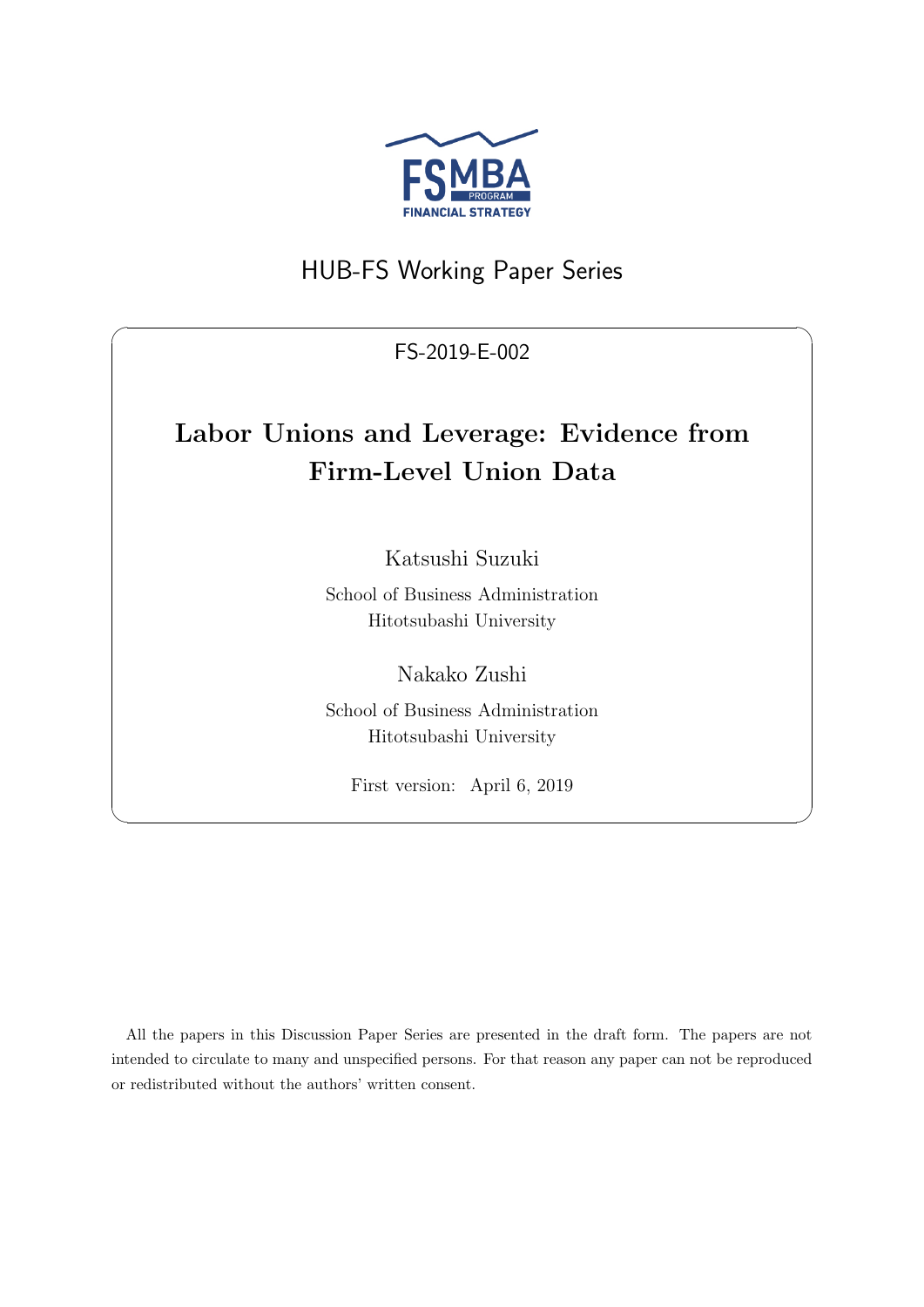

## HUB-FS Working Paper Series

FS-2019-E-002

 $\sqrt{2\pi}$ 

# **Labor Unions and Leverage: Evidence from Firm-Level Union Data**

Katsushi Suzuki

School of Business Administration Hitotsubashi University

Nakako Zushi

School of Business Administration Hitotsubashi University

First version: April 6, 2019

✒ ✑

All the papers in this Discussion Paper Series are presented in the draft form. The papers are not intended to circulate to many and unspecified persons. For that reason any paper can not be reproduced or redistributed without the authors' written consent.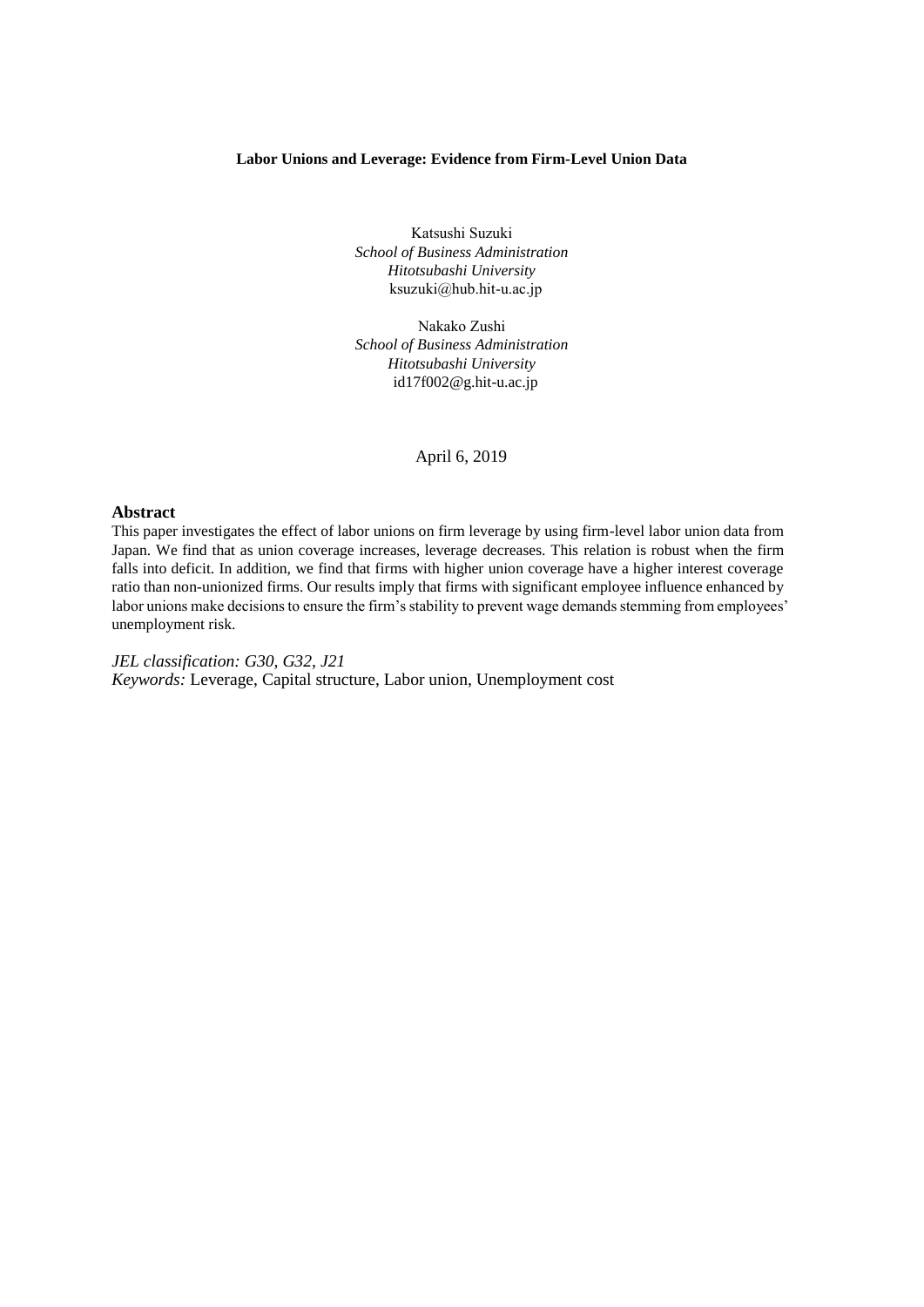## **Labor Unions and Leverage: Evidence from Firm-Level Union Data**

Katsushi Suzuki *School of Business Administration Hitotsubashi University* ksuzuki@hub.hit-u.ac.jp

Nakako Zushi *School of Business Administration Hitotsubashi University* id17f002@g.hit-u.ac.jp

April 6, 2019

### **Abstract**

This paper investigates the effect of labor unions on firm leverage by using firm-level labor union data from Japan. We find that as union coverage increases, leverage decreases. This relation is robust when the firm falls into deficit. In addition, we find that firms with higher union coverage have a higher interest coverage ratio than non-unionized firms. Our results imply that firms with significant employee influence enhanced by labor unions make decisions to ensure the firm's stability to prevent wage demands stemming from employees' unemployment risk.

*JEL classification: G30, G32, J21 Keywords:* Leverage, Capital structure, Labor union, Unemployment cost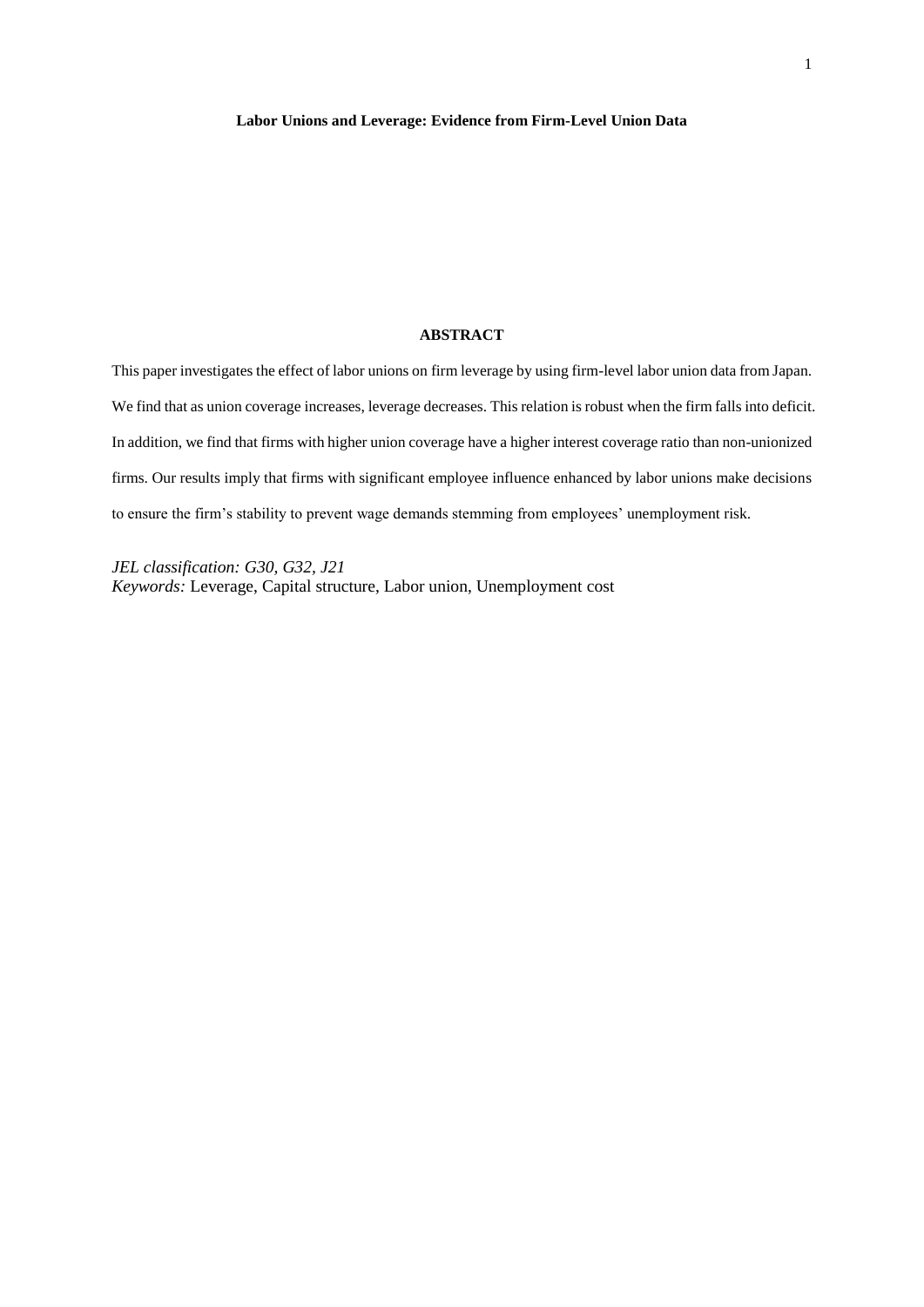## **ABSTRACT**

This paper investigates the effect of labor unions on firm leverage by using firm-level labor union data from Japan. We find that as union coverage increases, leverage decreases. This relation is robust when the firm falls into deficit. In addition, we find that firms with higher union coverage have a higher interest coverage ratio than non-unionized firms. Our results imply that firms with significant employee influence enhanced by labor unions make decisions to ensure the firm's stability to prevent wage demands stemming from employees' unemployment risk.

*JEL classification: G30, G32, J21 Keywords:* Leverage, Capital structure, Labor union, Unemployment cost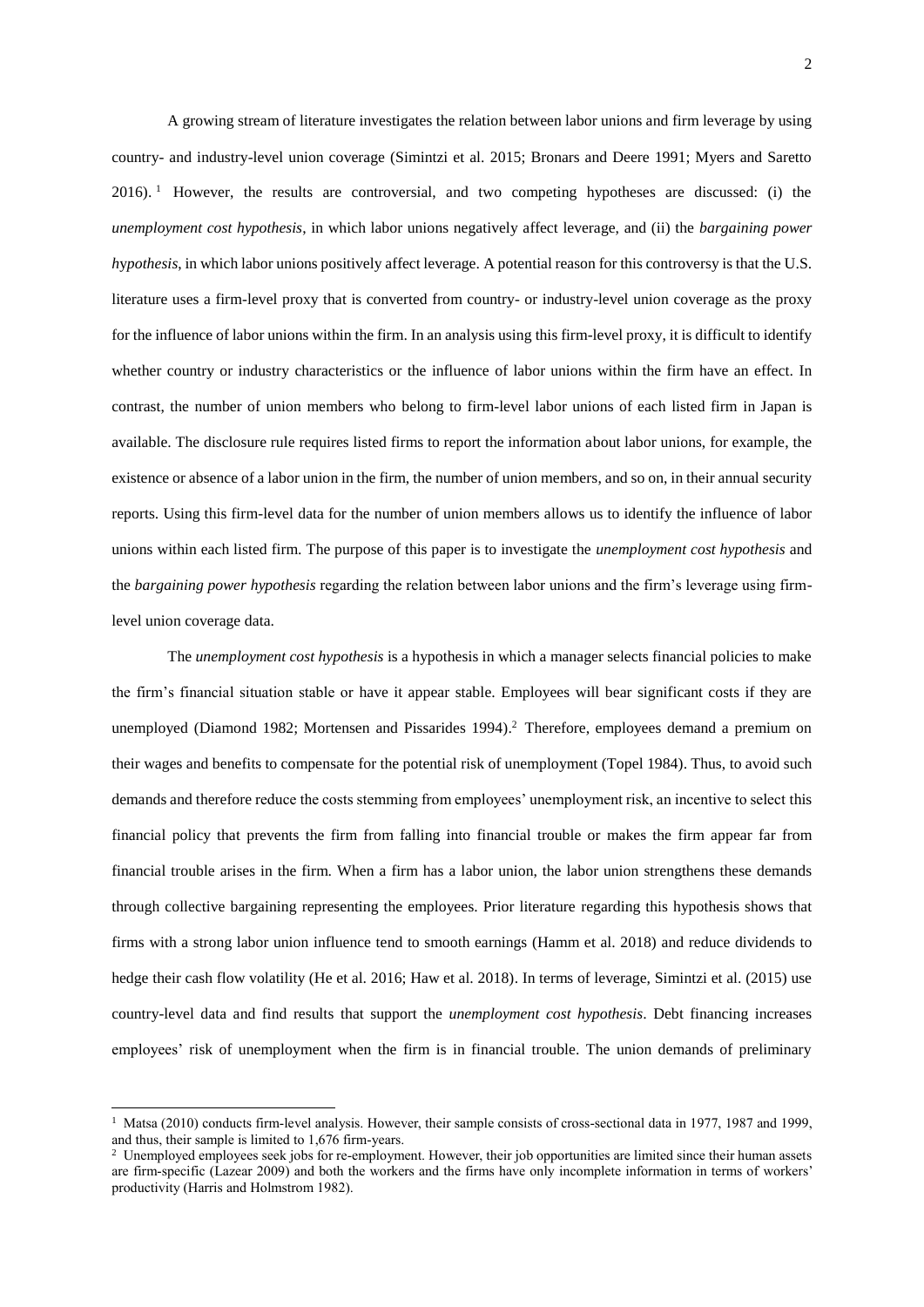A growing stream of literature investigates the relation between labor unions and firm leverage by using country- and industry-level union coverage (Simintzi et al. 2015; Bronars and Deere 1991; Myers and Saretto 2016).<sup>1</sup> However, the results are controversial, and two competing hypotheses are discussed: (i) the *unemployment cost hypothesis*, in which labor unions negatively affect leverage, and (ii) the *bargaining power h*y*pothesis*, in which labor unions positively affect leverage. A potential reason for this controversy is that the U.S. literature uses a firm-level proxy that is converted from country- or industry-level union coverage as the proxy for the influence of labor unions within the firm. In an analysis using this firm-level proxy, it is difficult to identify whether country or industry characteristics or the influence of labor unions within the firm have an effect. In contrast, the number of union members who belong to firm-level labor unions of each listed firm in Japan is available. The disclosure rule requires listed firms to report the information about labor unions, for example, the existence or absence of a labor union in the firm, the number of union members, and so on, in their annual security reports. Using this firm-level data for the number of union members allows us to identify the influence of labor unions within each listed firm. The purpose of this paper is to investigate the *unemployment cost hypothesis* and the *bargaining power hypothesis* regarding the relation between labor unions and the firm's leverage using firmlevel union coverage data.

The *unemployment cost hypothesis* is a hypothesis in which a manager selects financial policies to make the firm's financial situation stable or have it appear stable. Employees will bear significant costs if they are unemployed (Diamond 1982; Mortensen and Pissarides 1994). <sup>2</sup> Therefore, employees demand a premium on their wages and benefits to compensate for the potential risk of unemployment (Topel 1984). Thus, to avoid such demands and therefore reduce the costs stemming from employees' unemployment risk, an incentive to select this financial policy that prevents the firm from falling into financial trouble or makes the firm appear far from financial trouble arises in the firm. When a firm has a labor union, the labor union strengthens these demands through collective bargaining representing the employees. Prior literature regarding this hypothesis shows that firms with a strong labor union influence tend to smooth earnings (Hamm et al. 2018) and reduce dividends to hedge their cash flow volatility (He et al. 2016; Haw et al. 2018). In terms of leverage, Simintzi et al. (2015) use country-level data and find results that support the *unemployment cost hypothesis*. Debt financing increases employees' risk of unemployment when the firm is in financial trouble. The union demands of preliminary

1

<sup>&</sup>lt;sup>1</sup> Matsa (2010) conducts firm-level analysis. However, their sample consists of cross-sectional data in 1977, 1987 and 1999, and thus, their sample is limited to 1,676 firm-years.

<sup>&</sup>lt;sup>2</sup> Unemployed employees seek jobs for re-employment. However, their job opportunities are limited since their human assets are firm-specific (Lazear 2009) and both the workers and the firms have only incomplete information in terms of workers' productivity (Harris and Holmstrom 1982).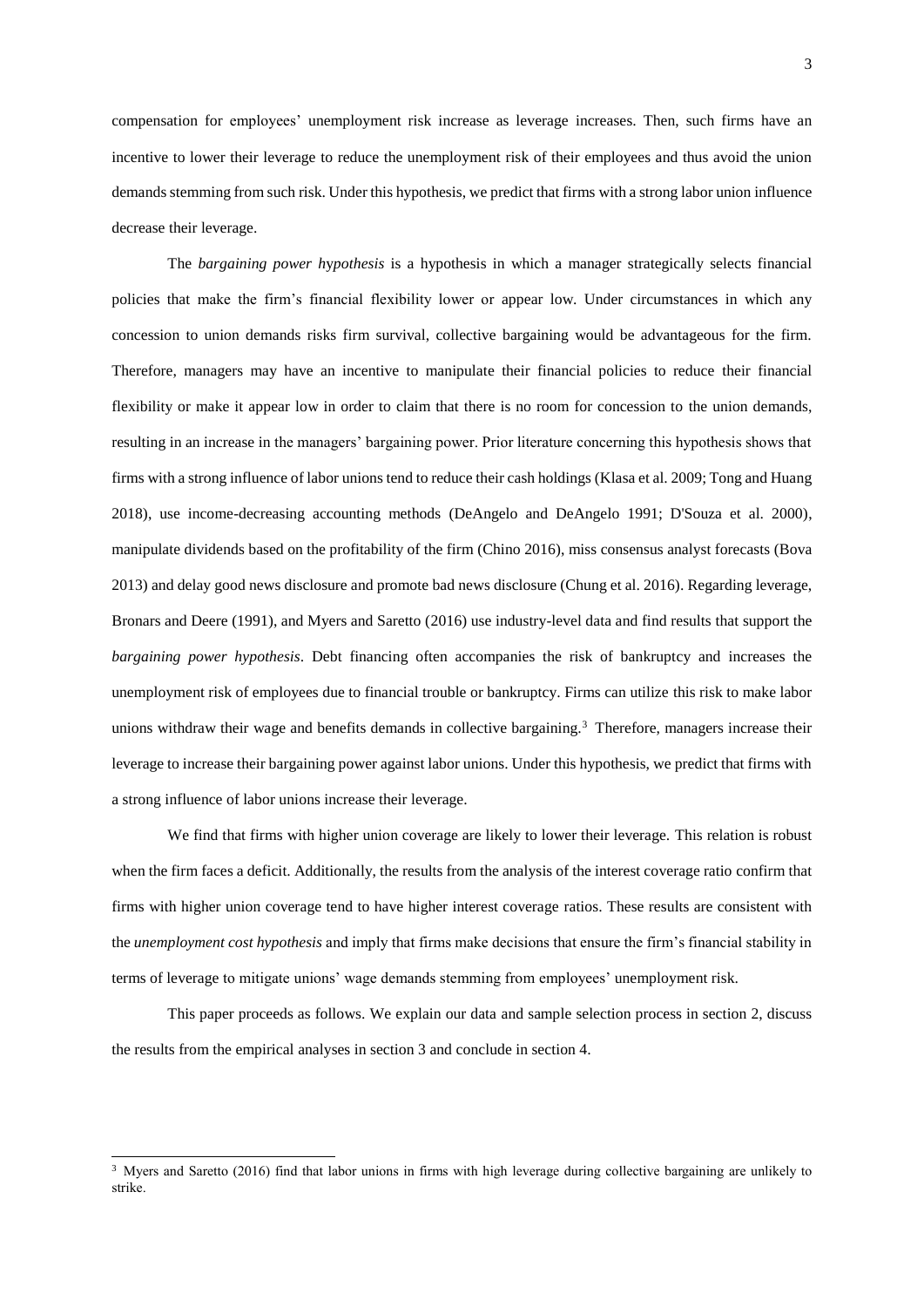compensation for employees' unemployment risk increase as leverage increases. Then, such firms have an incentive to lower their leverage to reduce the unemployment risk of their employees and thus avoid the union demands stemming from such risk. Under this hypothesis, we predict that firms with a strong labor union influence decrease their leverage.

The *bargaining power h*y*pothesis* is a hypothesis in which a manager strategically selects financial policies that make the firm's financial flexibility lower or appear low. Under circumstances in which any concession to union demands risks firm survival, collective bargaining would be advantageous for the firm. Therefore, managers may have an incentive to manipulate their financial policies to reduce their financial flexibility or make it appear low in order to claim that there is no room for concession to the union demands, resulting in an increase in the managers' bargaining power. Prior literature concerning this hypothesis shows that firms with a strong influence of labor unions tend to reduce their cash holdings (Klasa et al. 2009; Tong and Huang 2018), use income-decreasing accounting methods (DeAngelo and DeAngelo 1991; D'Souza et al. 2000), manipulate dividends based on the profitability of the firm (Chino 2016), miss consensus analyst forecasts (Bova 2013) and delay good news disclosure and promote bad news disclosure (Chung et al. 2016). Regarding leverage, Bronars and Deere (1991), and Myers and Saretto (2016) use industry-level data and find results that support the *bargaining power hypothesis*. Debt financing often accompanies the risk of bankruptcy and increases the unemployment risk of employees due to financial trouble or bankruptcy. Firms can utilize this risk to make labor unions withdraw their wage and benefits demands in collective bargaining.<sup>3</sup> Therefore, managers increase their leverage to increase their bargaining power against labor unions. Under this hypothesis, we predict that firms with a strong influence of labor unions increase their leverage.

We find that firms with higher union coverage are likely to lower their leverage. This relation is robust when the firm faces a deficit. Additionally, the results from the analysis of the interest coverage ratio confirm that firms with higher union coverage tend to have higher interest coverage ratios. These results are consistent with the *unemployment cost hypothesis* and imply that firms make decisions that ensure the firm's financial stability in terms of leverage to mitigate unions' wage demands stemming from employees' unemployment risk.

This paper proceeds as follows. We explain our data and sample selection process in section 2, discuss the results from the empirical analyses in section 3 and conclude in section 4.

-

<sup>&</sup>lt;sup>3</sup> Myers and Saretto (2016) find that labor unions in firms with high leverage during collective bargaining are unlikely to strike.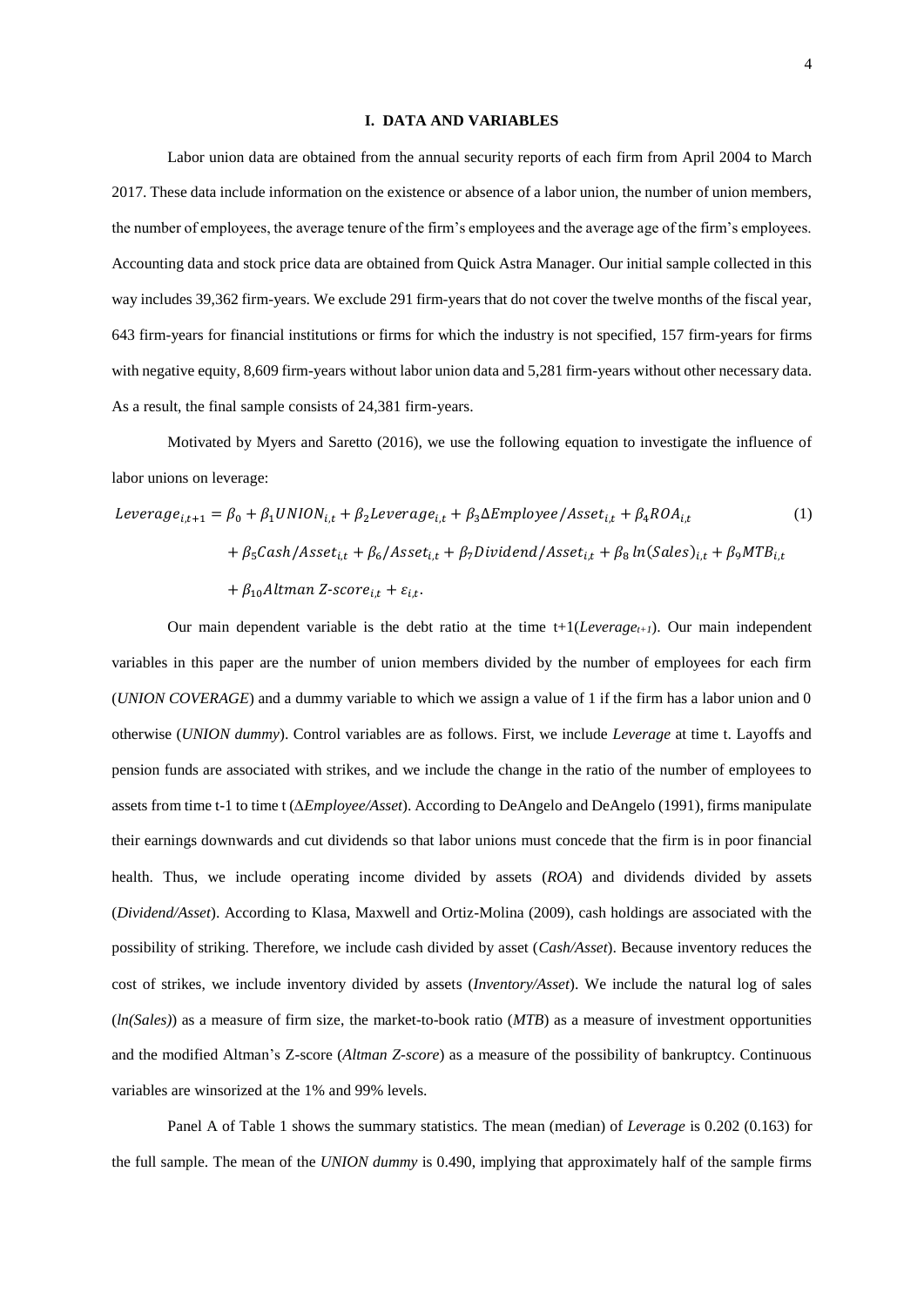#### <span id="page-5-0"></span>**I. DATA AND VARIABLES**

Labor union data are obtained from the annual security reports of each firm from April 2004 to March 2017. These data include information on the existence or absence of a labor union, the number of union members, the number of employees, the average tenure of the firm's employees and the average age of the firm's employees. Accounting data and stock price data are obtained from Quick Astra Manager. Our initial sample collected in this way includes 39,362 firm-years. We exclude 291 firm-years that do not cover the twelve months of the fiscal year, 643 firm-years for financial institutions or firms for which the industry is not specified, 157 firm-years for firms with negative equity, 8,609 firm-years without labor union data and 5,281 firm-years without other necessary data. As a result, the final sample consists of 24,381 firm-years.

Motivated by Myers and Saretto (2016), we use the following equation to investigate the influence of labor unions on leverage:

$$
Leverage_{i,t+1} = \beta_0 + \beta_1 UNION_{i,t} + \beta_2 Leverage_{i,t} + \beta_3 \Delta Employee / Asset_{i,t} + \beta_4 ROA_{i,t}
$$
\n
$$
+ \beta_5 Cash / Asset_{i,t} + \beta_6 / Asset_{i,t} + \beta_7 Dividend / Asset_{i,t} + \beta_8 ln(Sales)_{i,t} + \beta_9 MTB_{i,t}
$$
\n
$$
+ \beta_{10} Altman Z-score_{i,t} + \varepsilon_{i,t}.
$$
\n(1)

Our main dependent variable is the debt ratio at the time  $t+1(Leverage_{t+1})$ . Our main independent variables in this paper are the number of union members divided by the number of employees for each firm (*UNION COVERAGE*) and a dummy variable to which we assign a value of 1 if the firm has a labor union and 0 otherwise (*UNION dummy*). Control variables are as follows. First, we include *Leverage* at time t. Layoffs and pension funds are associated with strikes, and we include the change in the ratio of the number of employees to assets from time t-1 to time t (*∆Employee/Asset*). According to DeAngelo and DeAngelo (1991), firms manipulate their earnings downwards and cut dividends so that labor unions must concede that the firm is in poor financial health. Thus, we include operating income divided by assets (*ROA*) and dividends divided by assets (*Dividend/Asset*). According to Klasa, Maxwell and Ortiz-Molina (2009), cash holdings are associated with the possibility of striking. Therefore, we include cash divided by asset (*Cash/Asset*). Because inventory reduces the cost of strikes, we include inventory divided by assets (*Inventory/Asset*). We include the natural log of sales (*ln(Sales)*) as a measure of firm size, the market-to-book ratio (*MTB*) as a measure of investment opportunities and the modified Altman's Z-score (*Altman Z-score*) as a measure of the possibility of bankruptcy. Continuous variables are winsorized at the 1% and 99% levels.

Panel A of [Table 1](#page-14-0) shows the summary statistics. The mean (median) of *Leverage* is 0.202 (0.163) for the full sample. The mean of the *UNION dummy* is 0.490, implying that approximately half of the sample firms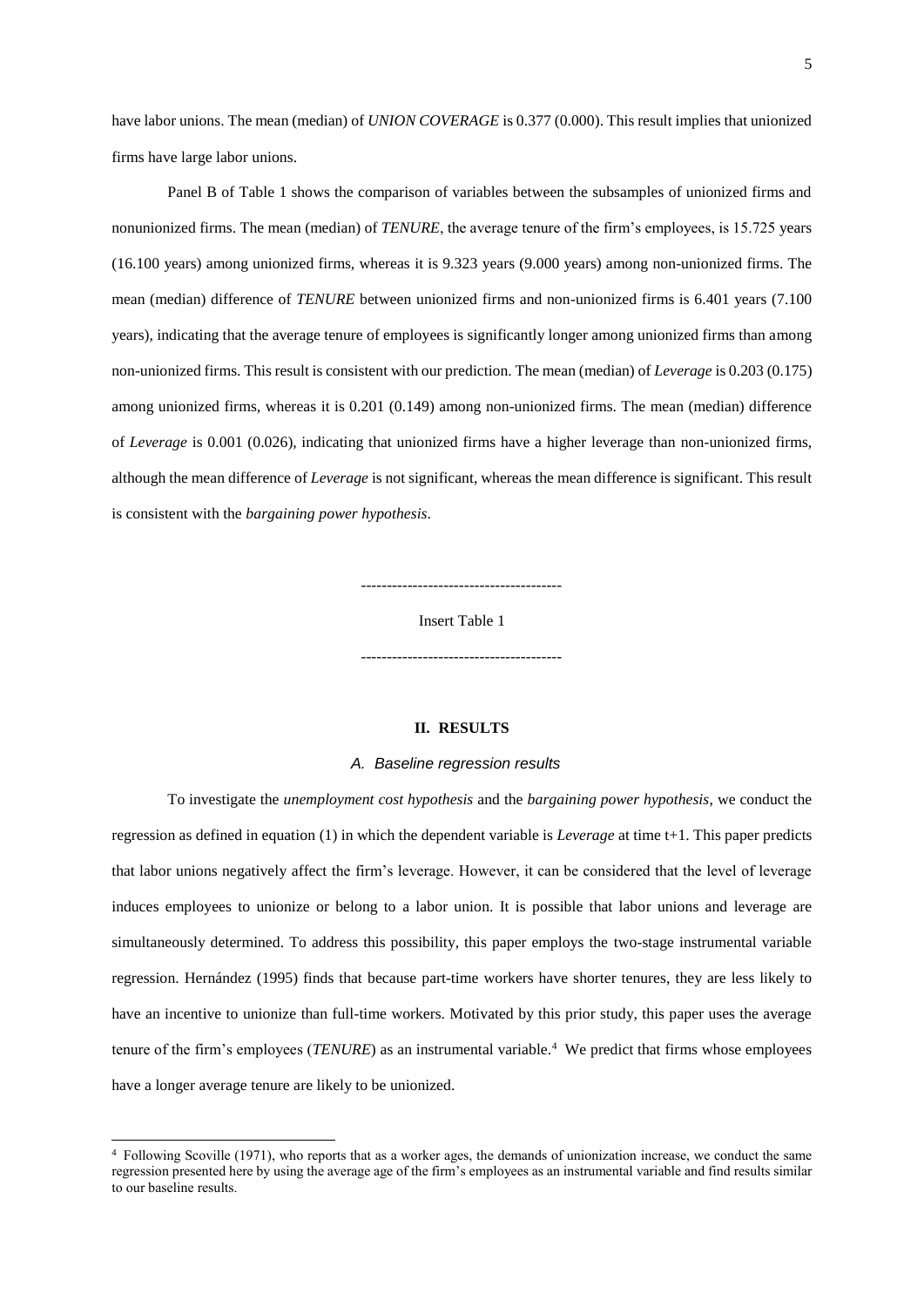have labor unions. The mean (median) of *UNION COVERAGE* is 0.377 (0.000). This result implies that unionized firms have large labor unions.

Panel B of [Table 1](#page-14-0) shows the comparison of variables between the subsamples of unionized firms and nonunionized firms. The mean (median) of *TENURE*, the average tenure of the firm's employees, is 15.725 years (16.100 years) among unionized firms, whereas it is 9.323 years (9.000 years) among non-unionized firms. The mean (median) difference of *TENURE* between unionized firms and non-unionized firms is 6.401 years (7.100 years), indicating that the average tenure of employees is significantly longer among unionized firms than among non-unionized firms. This result is consistent with our prediction. The mean (median) of *Leverage* is 0.203 (0.175) among unionized firms, whereas it is 0.201 (0.149) among non-unionized firms. The mean (median) difference of *Leverage* is 0.001 (0.026), indicating that unionized firms have a higher leverage than non-unionized firms, although the mean difference of *Leverage* is not significant, whereas the mean difference is significant. This result is consistent with the *bargaining power hypothesis*.

---------------------------------------

Insert [Table 1](#page-14-0)

 $-$ 

## **II. RESULTS**

#### *A. Baseline regression results*

To investigate the *unemployment cost hypothesis* and the *bargaining power hypothesis*, we conduct the regression as defined in equation [\(1\)](#page-5-0) in which the dependent variable is *Leverage* at time t+1. This paper predicts that labor unions negatively affect the firm's leverage. However, it can be considered that the level of leverage induces employees to unionize or belong to a labor union. It is possible that labor unions and leverage are simultaneously determined. To address this possibility, this paper employs the two-stage instrumental variable regression. Hernández (1995) finds that because part-time workers have shorter tenures, they are less likely to have an incentive to unionize than full-time workers. Motivated by this prior study, this paper uses the average tenure of the firm's employees (*TENURE*) as an instrumental variable.<sup>4</sup> We predict that firms whose employees have a longer average tenure are likely to be unionized.

1

<sup>4</sup> Following Scoville (1971), who reports that as a worker ages, the demands of unionization increase, we conduct the same regression presented here by using the average age of the firm's employees as an instrumental variable and find results similar to our baseline results.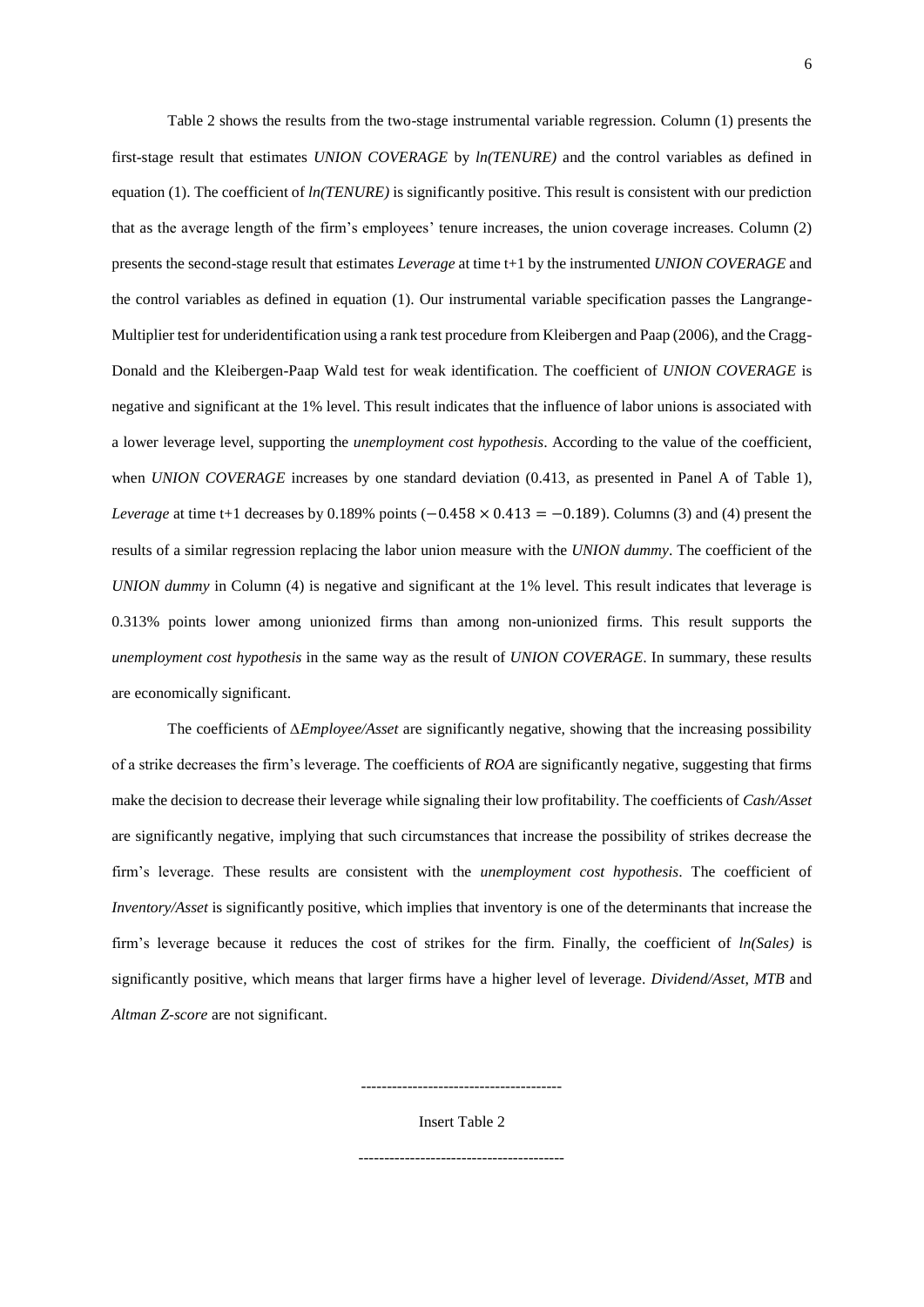[Table 2](#page-15-0) shows the results from the two-stage instrumental variable regression. Column (1) presents the first-stage result that estimates *UNION COVERAGE* by *ln(TENURE)* and the control variables as defined in equatio[n \(1\).](#page-5-0) The coefficient of *ln(TENURE)* is significantly positive. This result is consistent with our prediction that as the average length of the firm's employees' tenure increases, the union coverage increases. Column (2) presents the second-stage result that estimates *Leverage* at time t+1 by the instrumented *UNION COVERAGE* and the control variables as defined in equation [\(1\).](#page-5-0) Our instrumental variable specification passes the Langrange-Multiplier test for underidentification using a rank test procedure from Kleibergen and Paap (2006), and the Cragg-Donald and the Kleibergen-Paap Wald test for weak identification. The coefficient of *UNION COVERAGE* is negative and significant at the 1% level. This result indicates that the influence of labor unions is associated with a lower leverage level, supporting the *unemployment cost hypothesis*. According to the value of the coefficient, when *UNION COVERAGE* increases by one standard deviation (0.413, as presented in Panel A of [Table 1\)](#page-14-0), *Leverage* at time t+1 decreases by 0.189% points (−0.458 × 0.413 = −0.189). Columns (3) and (4) present the results of a similar regression replacing the labor union measure with the *UNION dummy*. The coefficient of the *UNION dummy* in Column (4) is negative and significant at the 1% level. This result indicates that leverage is 0.313% points lower among unionized firms than among non-unionized firms. This result supports the *unemployment cost hypothesis* in the same way as the result of *UNION COVERAGE*. In summary, these results are economically significant.

The coefficients of *∆Employee/Asset* are significantly negative, showing that the increasing possibility of a strike decreases the firm's leverage. The coefficients of *ROA* are significantly negative, suggesting that firms make the decision to decrease their leverage while signaling their low profitability. The coefficients of *Cash/Asset* are significantly negative, implying that such circumstances that increase the possibility of strikes decrease the firm's leverage. These results are consistent with the *unemployment cost hypothesis*. The coefficient of *Inventory/Asset* is significantly positive, which implies that inventory is one of the determinants that increase the firm's leverage because it reduces the cost of strikes for the firm. Finally, the coefficient of *ln(Sales)* is significantly positive, which means that larger firms have a higher level of leverage. *Dividend/Asset*, *MTB* and *Altman Z-score* are not significant.

> --------------------------------------- Insert [Table 2](#page-15-0)

----------------------------------------

6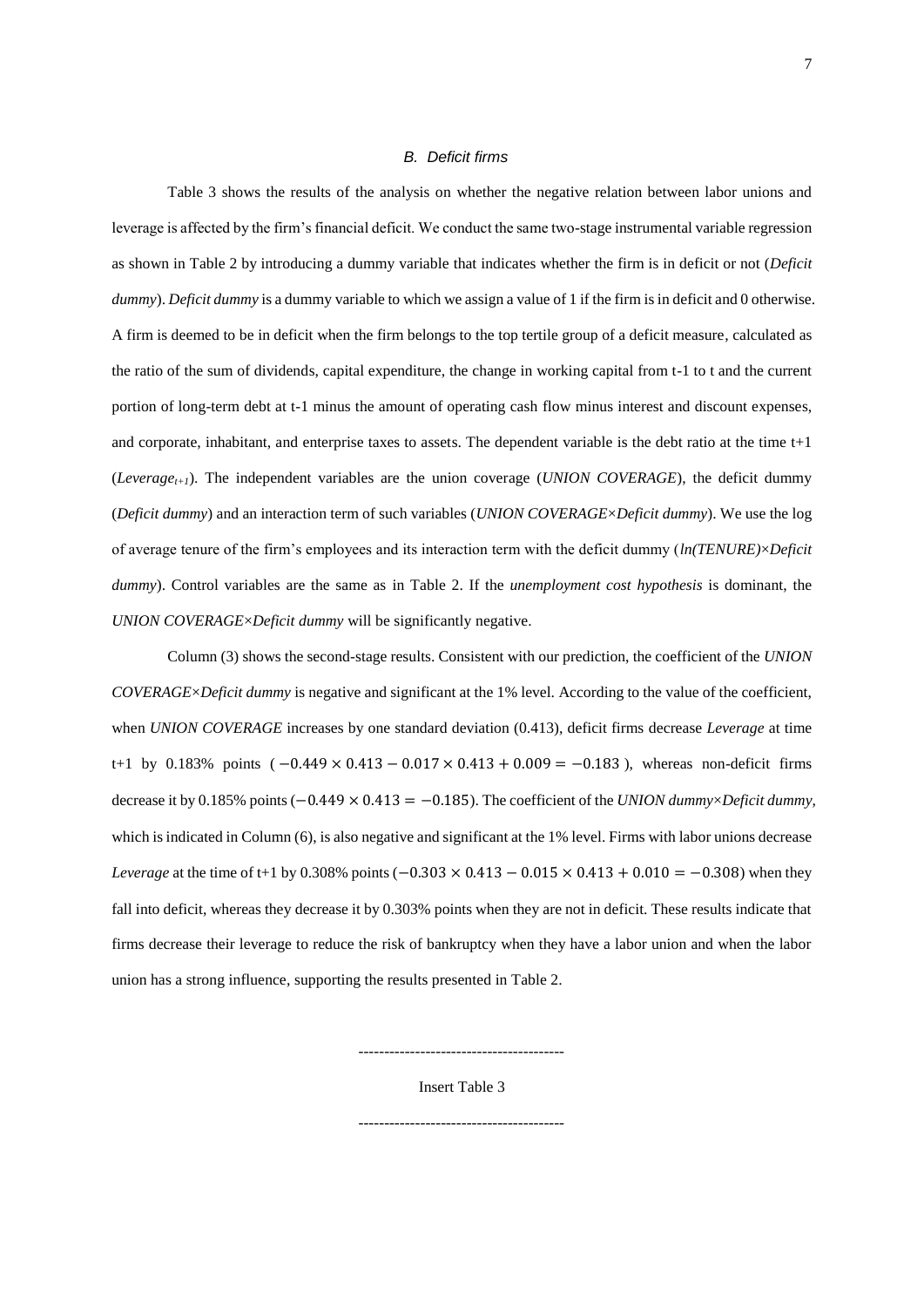#### *B. Deficit firms*

[Table 3](#page-16-0) shows the results of the analysis on whether the negative relation between labor unions and leverage is affected by the firm's financial deficit. We conduct the same two-stage instrumental variable regression as shown in [Table 2](#page-15-0) by introducing a dummy variable that indicates whether the firm is in deficit or not (*Deficit dummy*). *Deficit dummy* is a dummy variable to which we assign a value of 1 if the firm is in deficit and 0 otherwise. A firm is deemed to be in deficit when the firm belongs to the top tertile group of a deficit measure, calculated as the ratio of the sum of dividends, capital expenditure, the change in working capital from t-1 to t and the current portion of long-term debt at t-1 minus the amount of operating cash flow minus interest and discount expenses, and corporate, inhabitant, and enterprise taxes to assets. The dependent variable is the debt ratio at the time  $t+1$ (*Leveraget+1*). The independent variables are the union coverage (*UNION COVERAGE*), the deficit dummy (*Deficit dummy*) and an interaction term of such variables (*UNION COVERAGE*×*Deficit dummy*). We use the log of average tenure of the firm's employees and its interaction term with the deficit dummy (*ln(TENURE)*×*Deficit dummy*). Control variables are the same as in [Table 2.](#page-15-0) If the *unemployment cost hypothesis* is dominant, the *UNION COVERAGE*×*Deficit dummy* will be significantly negative.

Column (3) shows the second-stage results. Consistent with our prediction, the coefficient of the *UNION COVERAGE*×*Deficit dummy* is negative and significant at the 1% level. According to the value of the coefficient, when *UNION COVERAGE* increases by one standard deviation (0.413), deficit firms decrease *Leverage* at time t+1 by 0.183% points  $(-0.449 \times 0.413 - 0.017 \times 0.413 + 0.009 = -0.183)$ , whereas non-deficit firms decrease it by 0.185% points (−0.449 × 0.413 = −0.185). The coefficient of the *UNION dummy*×*Deficit dummy,* which is indicated in Column (6), is also negative and significant at the 1% level. Firms with labor unions decrease *Leverage* at the time of t+1 by 0.308% points  $(-0.303 \times 0.413 - 0.015 \times 0.413 + 0.010 = -0.308)$  when they fall into deficit, whereas they decrease it by 0.303% points when they are not in deficit. These results indicate that firms decrease their leverage to reduce the risk of bankruptcy when they have a labor union and when the labor union has a strong influence, supporting the results presented i[n Table 2.](#page-15-0)

Insert [Table 3](#page-16-0)

----------------------------------------

----------------------------------------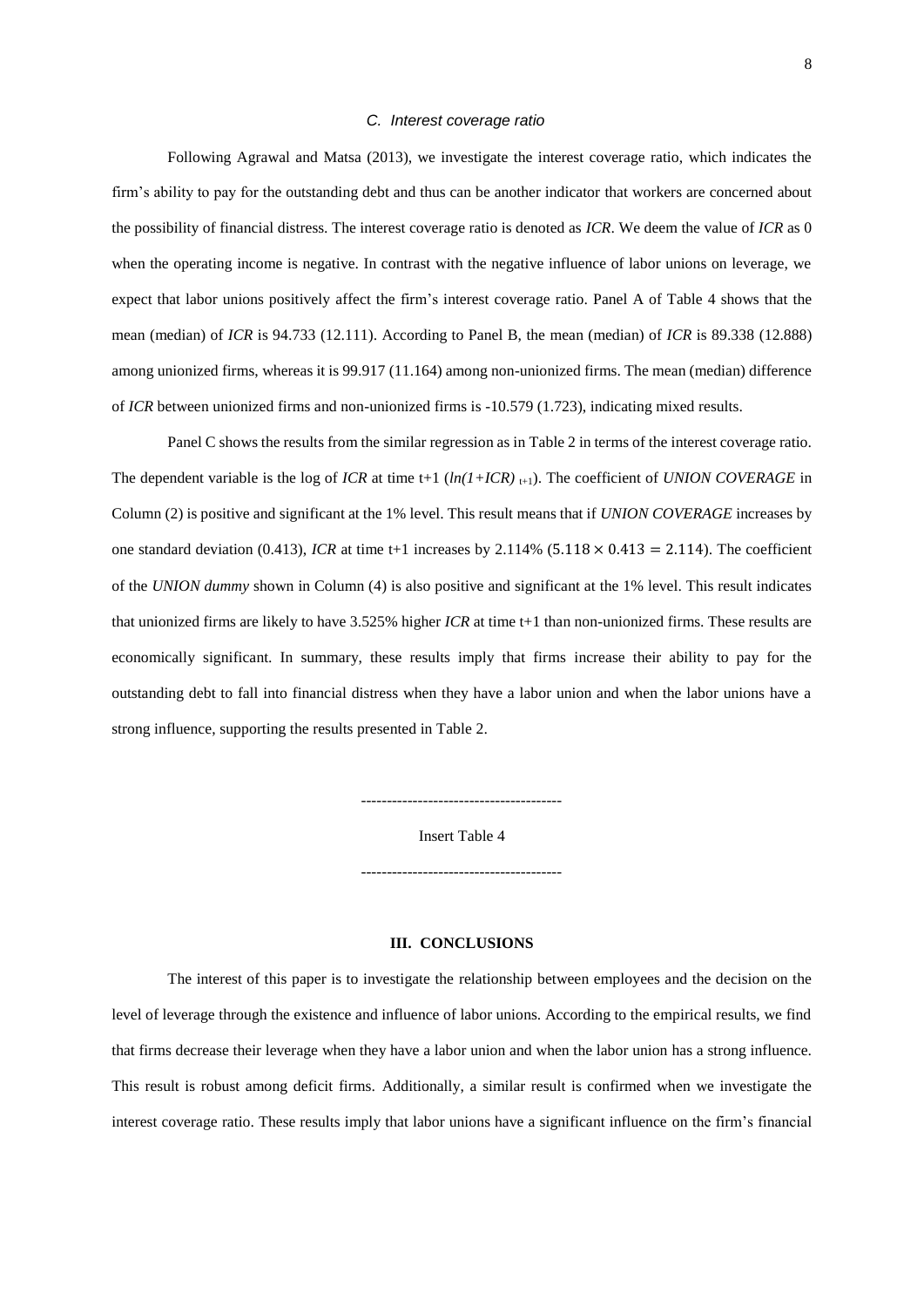#### *C. Interest coverage ratio*

Following Agrawal and Matsa (2013), we investigate the interest coverage ratio, which indicates the firm's ability to pay for the outstanding debt and thus can be another indicator that workers are concerned about the possibility of financial distress. The interest coverage ratio is denoted as *ICR*. We deem the value of *ICR* as 0 when the operating income is negative. In contrast with the negative influence of labor unions on leverage, we expect that labor unions positively affect the firm's interest coverage ratio. Panel A of [Table 4](#page-17-0) shows that the mean (median) of *ICR* is 94.733 (12.111). According to Panel B, the mean (median) of *ICR* is 89.338 (12.888) among unionized firms, whereas it is 99.917 (11.164) among non-unionized firms. The mean (median) difference of *ICR* between unionized firms and non-unionized firms is -10.579 (1.723), indicating mixed results.

Panel C shows the results from the similar regression as in [Table 2](#page-15-0) in terms of the interest coverage ratio. The dependent variable is the log of *ICR* at time t+1  $(ln(1+ICR)_{t+1})$ . The coefficient of *UNION COVERAGE* in Column (2) is positive and significant at the 1% level. This result means that if *UNION COVERAGE* increases by one standard deviation (0.413), *ICR* at time t+1 increases by  $2.114\%$  (5.118  $\times$  0.413 = 2.114). The coefficient of the *UNION dummy* shown in Column (4) is also positive and significant at the 1% level. This result indicates that unionized firms are likely to have 3.525% higher *ICR* at time t+1 than non-unionized firms. These results are economically significant. In summary, these results imply that firms increase their ability to pay for the outstanding debt to fall into financial distress when they have a labor union and when the labor unions have a strong influence, supporting the results presented in [Table 2.](#page-15-0)

Insert [Table 4](#page-17-0)

 $-$ 

---------------------------------------

#### **III. CONCLUSIONS**

The interest of this paper is to investigate the relationship between employees and the decision on the level of leverage through the existence and influence of labor unions. According to the empirical results, we find that firms decrease their leverage when they have a labor union and when the labor union has a strong influence. This result is robust among deficit firms. Additionally, a similar result is confirmed when we investigate the interest coverage ratio. These results imply that labor unions have a significant influence on the firm's financial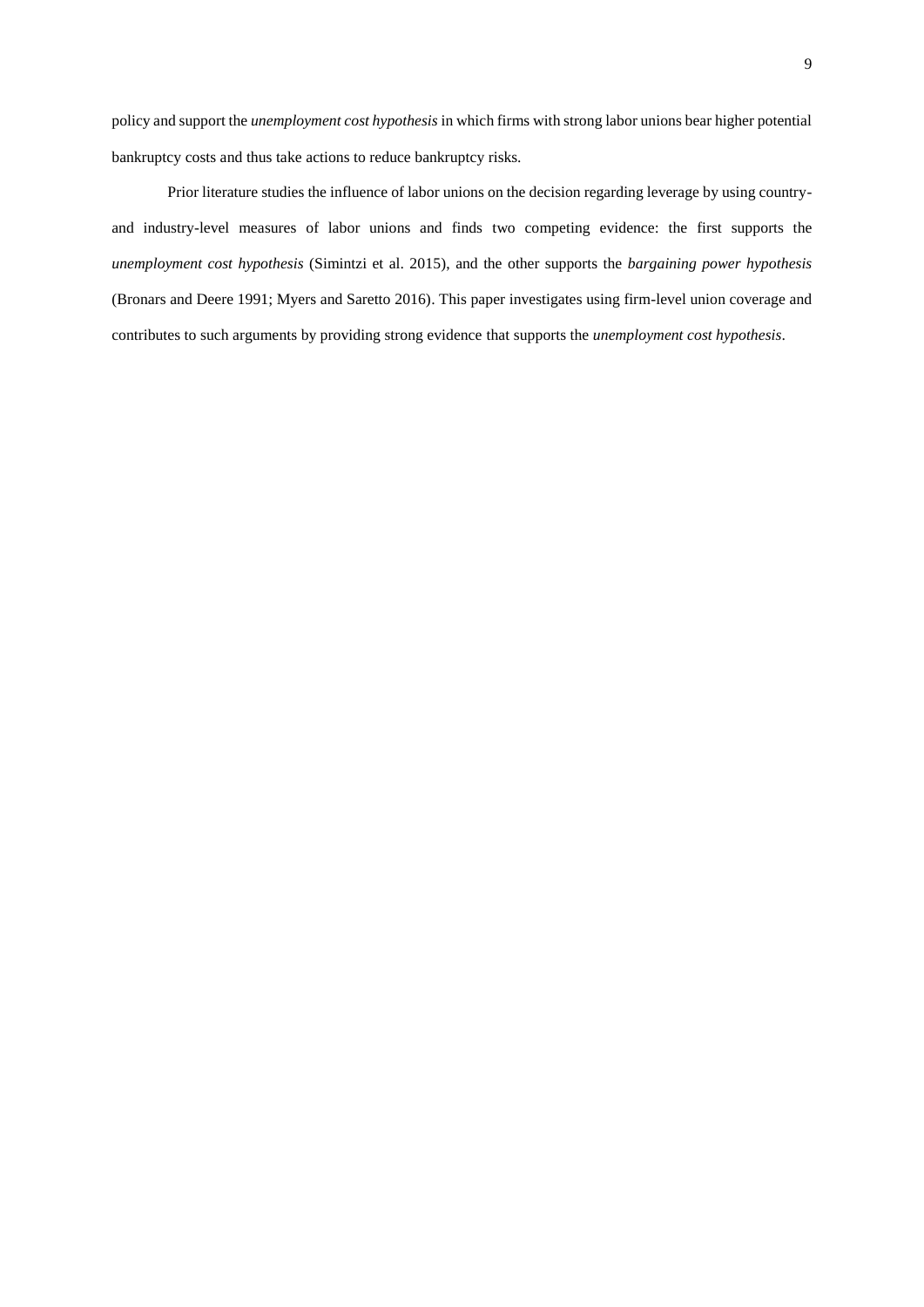policy and support the *unemployment cost hypothesis* in which firms with strong labor unions bear higher potential bankruptcy costs and thus take actions to reduce bankruptcy risks.

Prior literature studies the influence of labor unions on the decision regarding leverage by using countryand industry-level measures of labor unions and finds two competing evidence: the first supports the *unemployment cost hypothesis* (Simintzi et al. 2015), and the other supports the *bargaining power hypothesis* (Bronars and Deere 1991; Myers and Saretto 2016). This paper investigates using firm-level union coverage and contributes to such arguments by providing strong evidence that supports the *unemployment cost hypothesis*.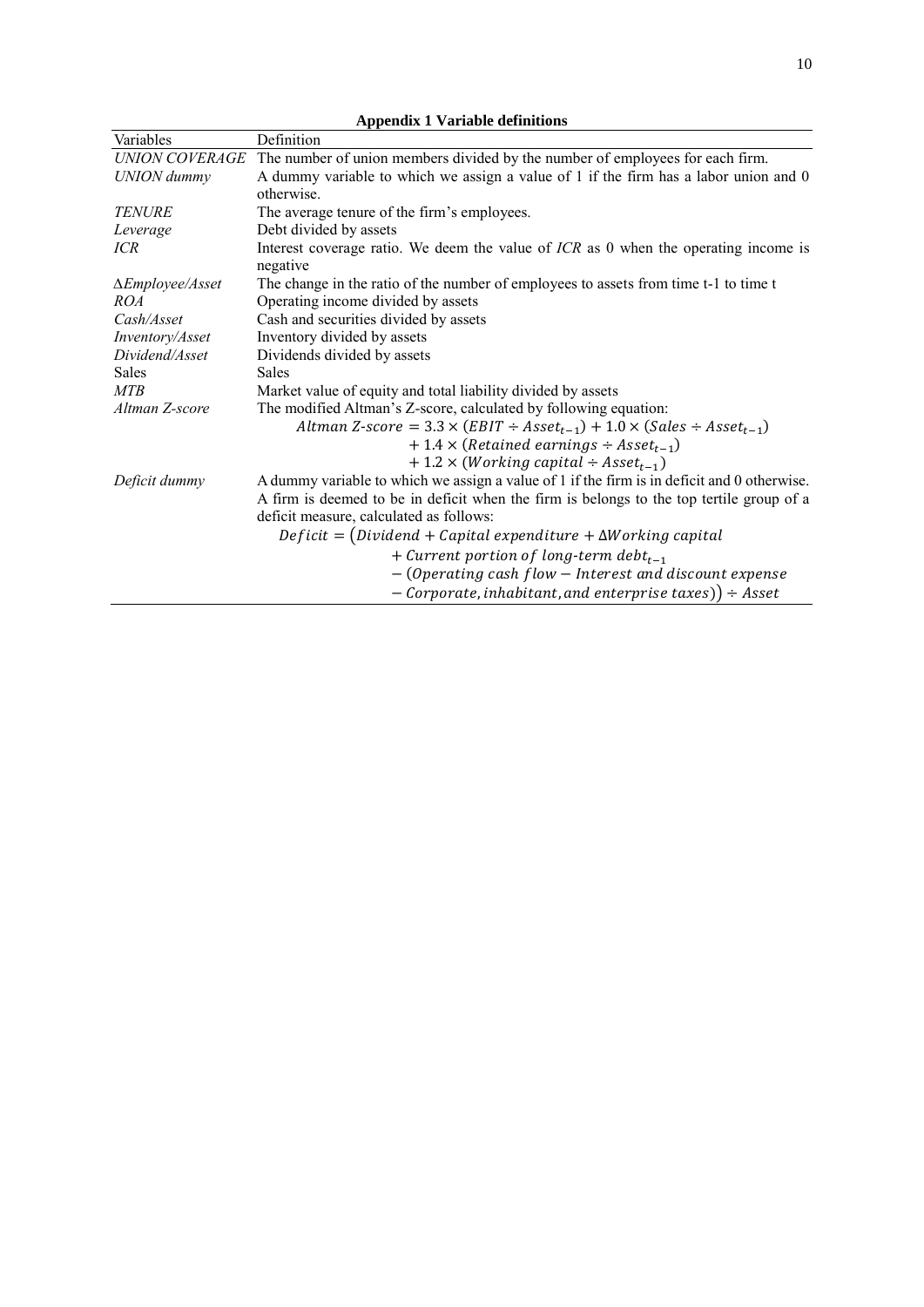| <b>Appendix 1 Variable definitions</b> |                                                                                             |  |  |  |  |  |
|----------------------------------------|---------------------------------------------------------------------------------------------|--|--|--|--|--|
| Variables                              | Definition                                                                                  |  |  |  |  |  |
| <b>UNION COVERAGE</b>                  | The number of union members divided by the number of employees for each firm.               |  |  |  |  |  |
| <b>UNION</b> dummy                     | A dummy variable to which we assign a value of 1 if the firm has a labor union and 0        |  |  |  |  |  |
|                                        | otherwise.                                                                                  |  |  |  |  |  |
| <b>TENURE</b>                          | The average tenure of the firm's employees.                                                 |  |  |  |  |  |
| Leverage                               | Debt divided by assets                                                                      |  |  |  |  |  |
| ICR                                    | Interest coverage ratio. We deem the value of $ICR$ as 0 when the operating income is       |  |  |  |  |  |
|                                        | negative                                                                                    |  |  |  |  |  |
| $\Delta$ <i>Employee</i> /Asset        | The change in the ratio of the number of employees to assets from time t-1 to time t        |  |  |  |  |  |
| ROA                                    | Operating income divided by assets                                                          |  |  |  |  |  |
| Cash/Asset                             | Cash and securities divided by assets                                                       |  |  |  |  |  |
| Inventory/Asset                        | Inventory divided by assets                                                                 |  |  |  |  |  |
| Dividend/Asset                         | Dividends divided by assets                                                                 |  |  |  |  |  |
| <b>Sales</b>                           | <b>Sales</b>                                                                                |  |  |  |  |  |
| <b>MTB</b>                             | Market value of equity and total liability divided by assets                                |  |  |  |  |  |
| Altman Z-score                         | The modified Altman's Z-score, calculated by following equation:                            |  |  |  |  |  |
|                                        | Altman Z-score = $3.3 \times (EBIT \div Asset_{t-1}) + 1.0 \times (Sales \div Asset_{t-1})$ |  |  |  |  |  |
|                                        | $+1.4 \times (Retained\ earnings \div Asset_{t-1})$                                         |  |  |  |  |  |
|                                        | $+1.2 \times (Working capital \div Asset_{t-1})$                                            |  |  |  |  |  |
| Deficit dummy                          | A dummy variable to which we assign a value of 1 if the firm is in deficit and 0 otherwise. |  |  |  |  |  |
|                                        | A firm is deemed to be in deficit when the firm is belongs to the top tertile group of a    |  |  |  |  |  |
|                                        | deficit measure, calculated as follows:                                                     |  |  |  |  |  |
|                                        | $Deficit = (Dividend + Capital expenditure + \Delta Working capital$                        |  |  |  |  |  |
|                                        | + Current portion of long-term debt <sub>t-1</sub>                                          |  |  |  |  |  |
|                                        | - (Operating cash flow - Interest and discount expense                                      |  |  |  |  |  |
|                                        | $-$ Corporate, inhabitant, and enterprise taxes)) $\div$ Asset                              |  |  |  |  |  |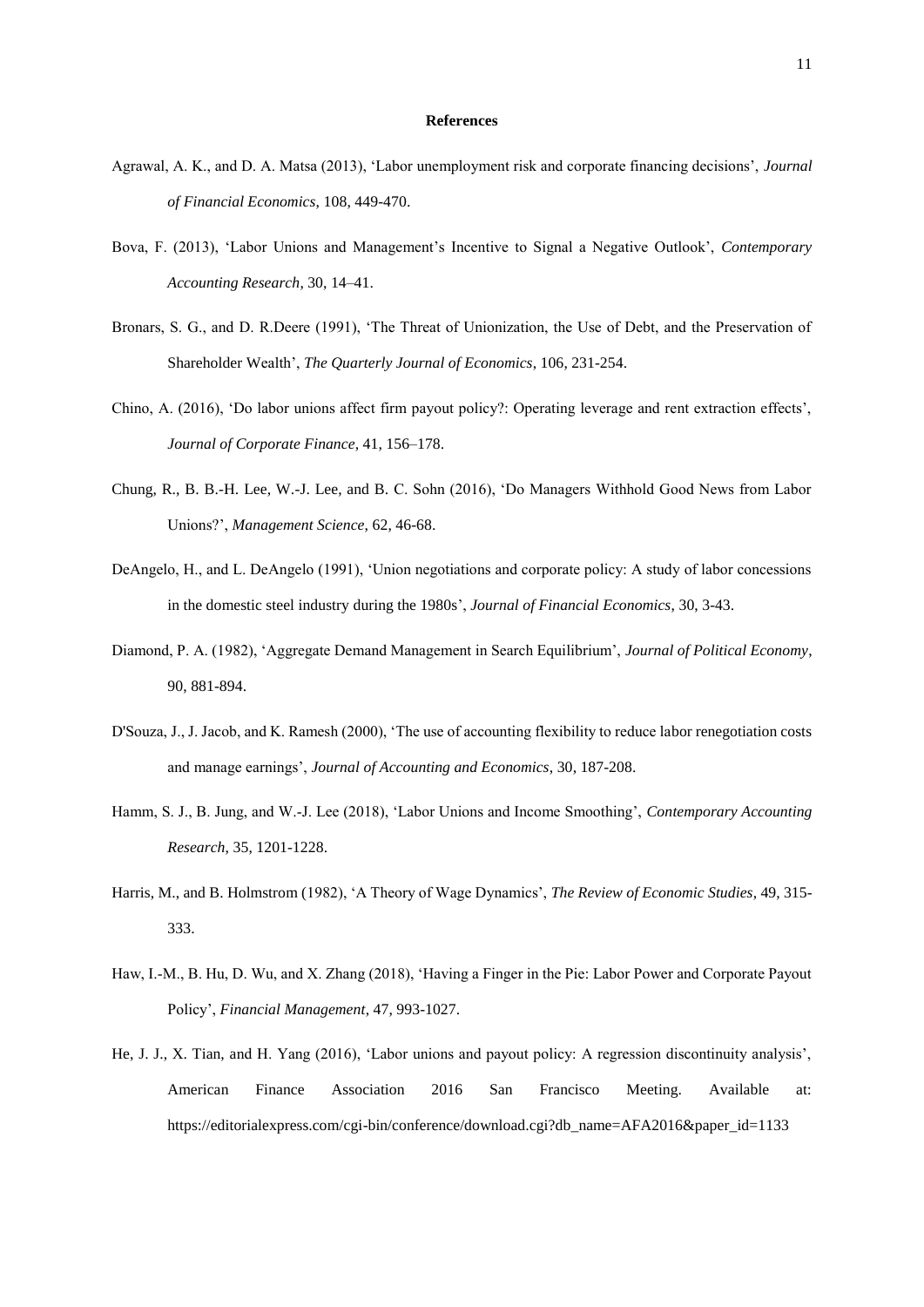#### **References**

- Agrawal, A. K., and D. A. Matsa (2013), 'Labor unemployment risk and corporate financing decisions', *Journal of Financial Economics*, 108, 449-470.
- Bova, F. (2013), 'Labor Unions and Management's Incentive to Signal a Negative Outlook', *Contemporary Accounting Research*, 30, 14–41.
- Bronars, S. G., and D. R.Deere (1991), 'The Threat of Unionization, the Use of Debt, and the Preservation of Shareholder Wealth', *The Quarterly Journal of Economics*, 106, 231-254.
- Chino, A. (2016), 'Do labor unions affect firm payout policy?: Operating leverage and rent extraction effects', *Journal of Corporate Finance*, 41, 156–178.
- Chung, R., B. B.-H. Lee, W.-J. Lee, and B. C. Sohn (2016), 'Do Managers Withhold Good News from Labor Unions?', *Management Science*, 62, 46-68.
- DeAngelo, H., and L. DeAngelo (1991), 'Union negotiations and corporate policy: A study of labor concessions in the domestic steel industry during the 1980s', *Journal of Financial Economics*, 30, 3-43.
- Diamond, P. A. (1982), 'Aggregate Demand Management in Search Equilibrium', *Journal of Political Economy*, 90, 881-894.
- D'Souza, J., J. Jacob, and K. Ramesh (2000), 'The use of accounting flexibility to reduce labor renegotiation costs and manage earnings', *Journal of Accounting and Economics*, 30, 187-208.
- Hamm, S. J., B. Jung, and W.‐J. Lee (2018), 'Labor Unions and Income Smoothing', *Contemporary Accounting Research*, 35, 1201-1228.
- Harris, M., and B. Holmstrom (1982), 'A Theory of Wage Dynamics', *The Review of Economic Studies*, 49, 315- 333.
- Haw, I.‐M., B. Hu, D. Wu, and X. Zhang (2018), 'Having a Finger in the Pie: Labor Power and Corporate Payout Policy', *Financial Management*, 47, 993-1027.
- He, J. J., X. Tian, and H. Yang (2016), 'Labor unions and payout policy: A regression discontinuity analysis', American Finance Association 2016 San Francisco Meeting. Available at: https://editorialexpress.com/cgi-bin/conference/download.cgi?db\_name=AFA2016&paper\_id=1133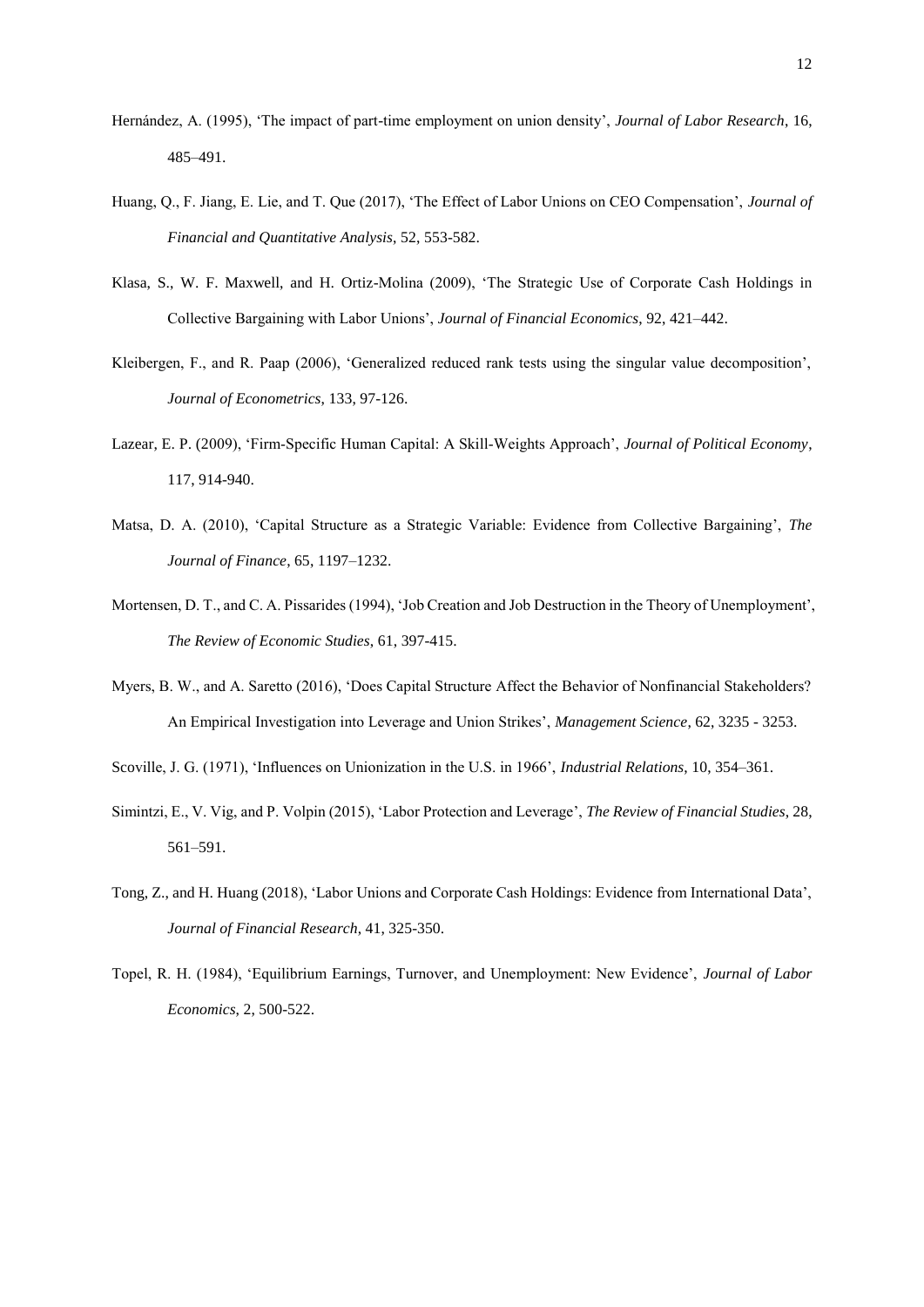- Hernández, A. (1995), 'The impact of part-time employment on union density', *Journal of Labor Research*, 16, 485–491.
- Huang, Q., F. Jiang, E. Lie, and T. Que (2017), 'The Effect of Labor Unions on CEO Compensation', *Journal of Financial and Quantitative Analysis*, 52, 553-582.
- Klasa, S., W. F. Maxwell, and H. Ortiz-Molina (2009), 'The Strategic Use of Corporate Cash Holdings in Collective Bargaining with Labor Unions', *Journal of Financial Economics*, 92, 421–442.
- Kleibergen, F., and R. Paap (2006), 'Generalized reduced rank tests using the singular value decomposition', *Journal of Econometrics*, 133, 97-126.
- Lazear, E. P. (2009), 'Firm‐Specific Human Capital: A Skill‐Weights Approach', *Journal of Political Economy*, 117, 914-940.
- Matsa, D. A. (2010), 'Capital Structure as a Strategic Variable: Evidence from Collective Bargaining', *The Journal of Finance*, 65, 1197–1232.
- Mortensen, D. T., and C. A. Pissarides (1994), 'Job Creation and Job Destruction in the Theory of Unemployment', *The Review of Economic Studies*, 61, 397-415.
- Myers, B. W., and A. Saretto (2016), 'Does Capital Structure Affect the Behavior of Nonfinancial Stakeholders? An Empirical Investigation into Leverage and Union Strikes', *Management Science*, 62, 3235 - 3253.
- Scoville, J. G. (1971), 'Influences on Unionization in the U.S. in 1966', *Industrial Relations*, 10, 354–361.
- Simintzi, E., V. Vig, and P. Volpin (2015), 'Labor Protection and Leverage', *The Review of Financial Studies*, 28, 561–591.
- Tong, Z., and H. Huang (2018), 'Labor Unions and Corporate Cash Holdings: Evidence from International Data', *Journal of Financial Research*, 41, 325-350.
- Topel, R. H. (1984), 'Equilibrium Earnings, Turnover, and Unemployment: New Evidence', *Journal of Labor Economics*, 2, 500-522.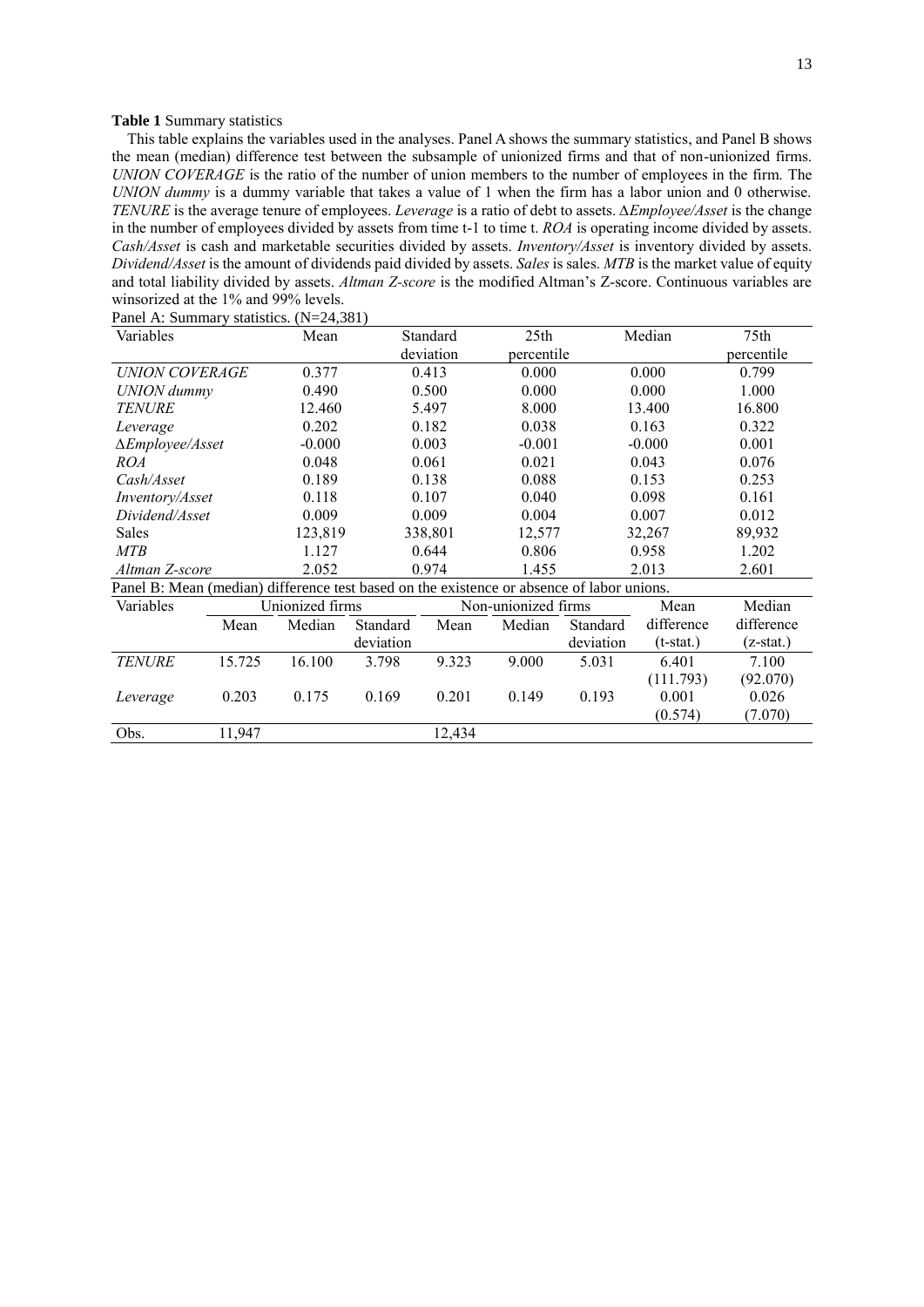#### <span id="page-14-0"></span>**Table 1** Summary statistics

This table explains the variables used in the analyses. Panel A shows the summary statistics, and Panel B shows the mean (median) difference test between the subsample of unionized firms and that of non-unionized firms. *UNION COVERAGE* is the ratio of the number of union members to the number of employees in the firm. The *UNION dummy* is a dummy variable that takes a value of 1 when the firm has a labor union and 0 otherwise. *TENURE* is the average tenure of employees. *Leverage* is a ratio of debt to assets. *∆Employee/Asset* is the change in the number of employees divided by assets from time t-1 to time t. *ROA* is operating income divided by assets. *Cash/Asset* is cash and marketable securities divided by assets. *Inventory/Asset* is inventory divided by assets. *Dividend/Asset* is the amount of dividends paid divided by assets. *Sales* is sales. *MTB* is the market value of equity and total liability divided by assets. *Altman Z-score* is the modified Altman's Z-score. Continuous variables are winsorized at the 1% and 99% levels.

| Variables                                                                                 |        | Mean            |           | Standard                | 25 <sub>th</sub>            |           | Median     | 75th       |
|-------------------------------------------------------------------------------------------|--------|-----------------|-----------|-------------------------|-----------------------------|-----------|------------|------------|
|                                                                                           |        |                 |           | deviation<br>percentile |                             |           | percentile |            |
| UNION COVERAGE                                                                            |        | 0.377           |           | 0.413                   | 0.000                       |           | 0.000      | 0.799      |
| UNION dummy                                                                               |        | 0.490           |           | 0.500                   | 0.000                       |           | 0.000      | 1.000      |
| <b>TENURE</b>                                                                             |        | 12.460          |           | 5.497                   | 8.000                       |           | 13.400     | 16.800     |
| Leverage                                                                                  |        | 0.202           |           | 0.182                   | 0.038                       |           | 0.163      | 0.322      |
| $\Delta$ <i>Employee</i> / <i>Asset</i>                                                   |        | $-0.000$        |           | 0.003                   | $-0.001$                    |           | $-0.000$   | 0.001      |
| <i>ROA</i>                                                                                |        | 0.048           |           | 0.061                   | 0.021                       |           | 0.043      | 0.076      |
| Cash/Asset                                                                                |        | 0.189           |           | 0.138                   | 0.088                       |           | 0.153      | 0.253      |
| Inventory/Asset                                                                           |        | 0.118           |           | 0.107                   | 0.040                       |           | 0.098      | 0.161      |
| Dividend/Asset                                                                            |        | 0.009           |           | 0.009                   | 0.004                       |           | 0.007      | 0.012      |
| Sales                                                                                     |        | 123,819         |           | 338,801                 | 12,577                      |           | 32,267     | 89,932     |
| МTB                                                                                       |        | 1.127           |           | 0.644                   | 0.806                       |           | 0.958      | 1.202      |
| Altman Z-score                                                                            |        | 2.052           |           | 0.974                   | 1.455                       |           | 2.013      | 2.601      |
| Panel B: Mean (median) difference test based on the existence or absence of labor unions. |        |                 |           |                         |                             |           |            |            |
| Variables                                                                                 |        | Unionized firms |           |                         | Non-unionized firms<br>Mean |           |            | Median     |
|                                                                                           | Mean   | Median          | Standard  | Mean                    | Median                      | Standard  | difference | difference |
|                                                                                           |        |                 | deviation |                         |                             | deviation |            | (z-stat.)  |
| <b>TENURE</b>                                                                             | 15.725 | 16.100          | 3.798     | 9.323                   | 9.000                       | 5.031     | 6.401      | 7.100      |
|                                                                                           |        |                 |           |                         |                             |           | (111.793)  | (92.070)   |
| Leverage                                                                                  | 0.203  | 0.175           | 0.169     | 0.201                   | 0.149                       | 0.193     | 0.001      | 0.026      |
|                                                                                           |        |                 |           |                         |                             |           | (0.574)    | (7.070)    |
| Obs.                                                                                      | 11,947 |                 |           | 12,434                  |                             |           |            |            |

Panel A: Summary statistics. (N=24,381)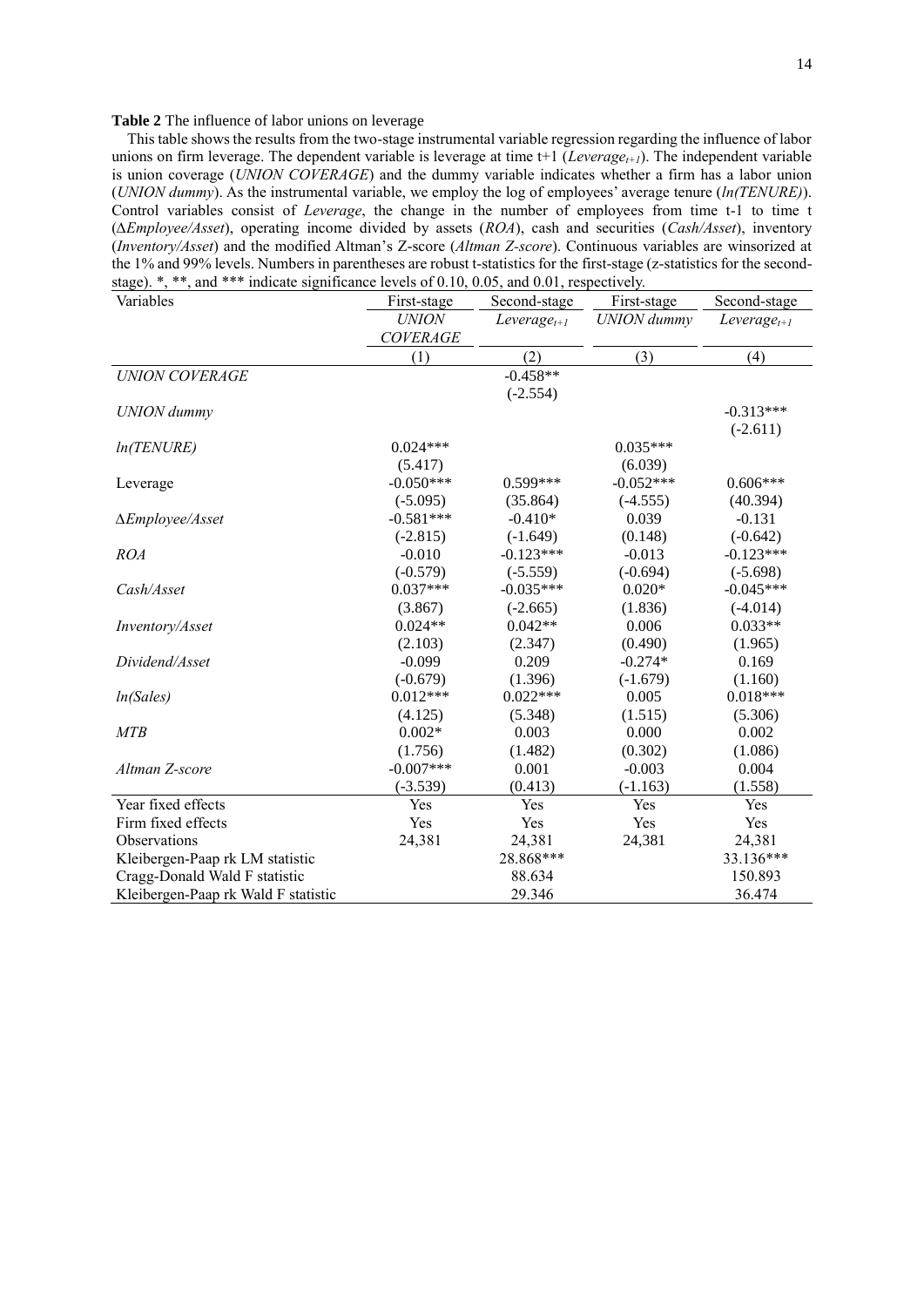#### <span id="page-15-0"></span>**Table 2** The influence of labor unions on leverage

This table shows the results from the two-stage instrumental variable regression regarding the influence of labor unions on firm leverage. The dependent variable is leverage at time t+1 (*Leveraget+1*). The independent variable is union coverage (*UNION COVERAGE*) and the dummy variable indicates whether a firm has a labor union (*UNION dummy*). As the instrumental variable, we employ the log of employees' average tenure (*ln(TENURE)*). Control variables consist of *Leverage*, the change in the number of employees from time t-1 to time t (*∆Employee/Asset*), operating income divided by assets (*ROA*), cash and securities (*Cash/Asset*), inventory (*Inventory/Asset*) and the modified Altman's Z-score (*Altman Z-score*). Continuous variables are winsorized at the 1% and 99% levels. Numbers in parentheses are robust t-statistics for the first-stage (z-statistics for the secondstage). \*, \*\*, and \*\*\* indicate significance levels of 0.10, 0.05, and 0.01, respectively.

| Variables                           | First-stage     | Second-stage     |                    | Second-stage |
|-------------------------------------|-----------------|------------------|--------------------|--------------|
|                                     | <b>UNION</b>    | $Leverage_{t+1}$ | <b>UNION</b> dummy |              |
|                                     | <b>COVERAGE</b> |                  |                    |              |
|                                     | (1)             | (2)              | (3)                | (4)          |
| <b>UNION COVERAGE</b>               |                 | $-0.458**$       |                    |              |
|                                     |                 | $(-2.554)$       |                    |              |
| <b>UNION</b> dummy                  |                 |                  |                    | $-0.313***$  |
|                                     |                 |                  |                    | $(-2.611)$   |
| ln(TENURE)                          | $0.024***$      |                  | $0.035***$         |              |
|                                     | (5.417)         |                  | (6.039)            |              |
| Leverage                            | $-0.050***$     | $0.599***$       | $-0.052***$        | $0.606***$   |
|                                     | $(-5.095)$      | (35.864)         | $(-4.555)$         | (40.394)     |
| ∆Employee/Asset                     | $-0.581***$     | $-0.410*$        | 0.039              | $-0.131$     |
|                                     | $(-2.815)$      | $(-1.649)$       | (0.148)            | $(-0.642)$   |
| <b>ROA</b>                          | $-0.010$        | $-0.123***$      | $-0.013$           | $-0.123***$  |
|                                     | $(-0.579)$      | $(-5.559)$       | $(-0.694)$         | $(-5.698)$   |
| Cash/Asset                          | $0.037***$      | $-0.035***$      | $0.020*$           | $-0.045***$  |
|                                     | (3.867)         | $(-2.665)$       | (1.836)            | $(-4.014)$   |
| Inventory/Asset                     | $0.024**$       | $0.042**$        | 0.006              | $0.033**$    |
|                                     | (2.103)         | (2.347)          | (0.490)            | (1.965)      |
| Dividend/Asset                      | $-0.099$        | 0.209            | $-0.274*$          | 0.169        |
|                                     | $(-0.679)$      | (1.396)          | $(-1.679)$         | (1.160)      |
| ln(Sales)                           | $0.012***$      | $0.022***$       | 0.005              | $0.018***$   |
|                                     | (4.125)         | (5.348)          | (1.515)            | (5.306)      |
| <b>MTB</b>                          | $0.002*$        | 0.003            | 0.000              | 0.002        |
|                                     | (1.756)         | (1.482)          | (0.302)            | (1.086)      |
| Altman Z-score                      | $-0.007***$     | 0.001            | $-0.003$           | 0.004        |
|                                     | $(-3.539)$      | (0.413)          | $(-1.163)$         | (1.558)      |
| Year fixed effects                  | Yes             | Yes              | Yes                | Yes          |
| Firm fixed effects                  | Yes             | Yes              | Yes                | Yes          |
| <b>Observations</b>                 | 24,381          | 24,381           | 24,381             | 24,381       |
| Kleibergen-Paap rk LM statistic     |                 | 28.868***        |                    | 33.136***    |
| Cragg-Donald Wald F statistic       |                 | 88.634           |                    | 150.893      |
| Kleibergen-Paap rk Wald F statistic |                 | 29.346           |                    | 36.474       |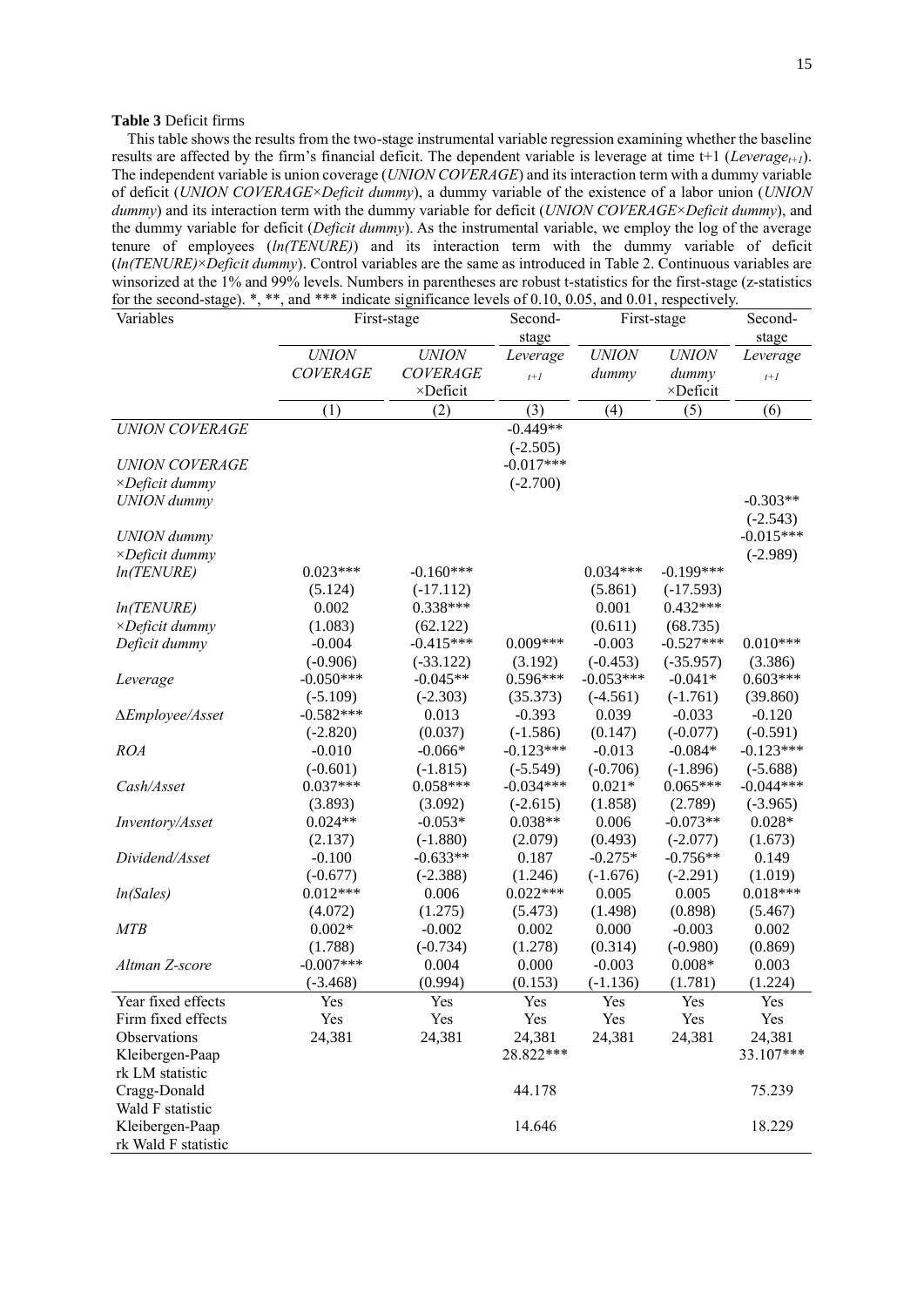#### <span id="page-16-0"></span>**Table 3** Deficit firms

This table shows the results from the two-stage instrumental variable regression examining whether the baseline results are affected by the firm's financial deficit. The dependent variable is leverage at time t+1 ( $Leverage_{t+1}$ ). The independent variable is union coverage (*UNION COVERAGE*) and its interaction term with a dummy variable of deficit (*UNION COVERAGE*×*Deficit dummy*), a dummy variable of the existence of a labor union (*UNION dummy*) and its interaction term with the dummy variable for deficit (*UNION COVERAGE*×*Deficit dummy*), and the dummy variable for deficit (*Deficit dummy*). As the instrumental variable, we employ the log of the average tenure of employees (*ln(TENURE)*) and its interaction term with the dummy variable of deficit (*ln(TENURE)*×*Deficit dummy*). Control variables are the same as introduced i[n Table 2.](#page-15-0) Continuous variables are winsorized at the 1% and 99% levels. Numbers in parentheses are robust t-statistics for the first-stage (z-statistics for the second-stage). \*, \*\*, and \*\*\* indicate significance levels of 0.10, 0.05, and 0.01, respectively.

| Variables                               | First-stage      |                           | Second-     | First-stage      |                           | Second-     |
|-----------------------------------------|------------------|---------------------------|-------------|------------------|---------------------------|-------------|
|                                         |                  |                           | stage       |                  |                           | stage       |
|                                         | <b>UNION</b>     | <b>UNION</b>              | Leverage    | <b>UNION</b>     | <b>UNION</b>              | Leverage    |
|                                         | <b>COVERAGE</b>  | <b>COVERAGE</b>           | $t+1$       | dummy            | dummy                     | $t+1$       |
|                                         |                  | ×Deficit                  |             |                  | $\times$ Deficit          |             |
|                                         | (1)              | (2)                       | (3)         | (4)              | (5)                       | (6)         |
| <b>UNION COVERAGE</b>                   |                  |                           | $-0.449**$  |                  |                           |             |
|                                         |                  |                           | $(-2.505)$  |                  |                           |             |
| <b>UNION COVERAGE</b>                   |                  |                           | $-0.017***$ |                  |                           |             |
| $\times$ Deficit dummy                  |                  |                           | $(-2.700)$  |                  |                           |             |
| <b>UNION</b> dummy                      |                  |                           |             |                  |                           | $-0.303**$  |
|                                         |                  |                           |             |                  |                           | $(-2.543)$  |
| <b>UNION</b> dummy                      |                  |                           |             |                  |                           | $-0.015***$ |
| $\times$ Deficit dummy                  | $0.023***$       |                           |             |                  |                           | $(-2.989)$  |
| ln(TENURE)                              |                  | $-0.160***$               |             | $0.034***$       | $-0.199***$               |             |
|                                         | (5.124)<br>0.002 | $(-17.112)$<br>$0.338***$ |             | (5.861)<br>0.001 | $(-17.593)$<br>$0.432***$ |             |
| ln(TENURE)<br>$\times$ Deficit dummy    | (1.083)          | (62.122)                  |             | (0.611)          | (68.735)                  |             |
| Deficit dummy                           | $-0.004$         | $-0.415***$               | $0.009***$  | $-0.003$         | $-0.527***$               | $0.010***$  |
|                                         | $(-0.906)$       | $(-33.122)$               | (3.192)     | $(-0.453)$       | $(-35.957)$               | (3.386)     |
| Leverage                                | $-0.050***$      | $-0.045**$                | $0.596***$  | $-0.053***$      | $-0.041*$                 | $0.603***$  |
|                                         | $(-5.109)$       | $(-2.303)$                | (35.373)    | $(-4.561)$       | $(-1.761)$                | (39.860)    |
| $\Delta$ <i>Employee</i> / <i>Asset</i> | $-0.582***$      | 0.013                     | $-0.393$    | 0.039            | $-0.033$                  | $-0.120$    |
|                                         | $(-2.820)$       | (0.037)                   | $(-1.586)$  | (0.147)          | $(-0.077)$                | $(-0.591)$  |
| <b>ROA</b>                              | $-0.010$         | $-0.066*$                 | $-0.123***$ | $-0.013$         | $-0.084*$                 | $-0.123***$ |
|                                         | $(-0.601)$       | $(-1.815)$                | $(-5.549)$  | $(-0.706)$       | $(-1.896)$                | $(-5.688)$  |
| Cash/Asset                              | $0.037***$       | $0.058***$                | $-0.034***$ | $0.021*$         | $0.065***$                | $-0.044***$ |
|                                         | (3.893)          | (3.092)                   | $(-2.615)$  | (1.858)          | (2.789)                   | $(-3.965)$  |
| Inventory/Asset                         | $0.024**$        | $-0.053*$                 | $0.038**$   | 0.006            | $-0.073**$                | $0.028*$    |
|                                         | (2.137)          | $(-1.880)$                | (2.079)     | (0.493)          | $(-2.077)$                | (1.673)     |
| Dividend/Asset                          | $-0.100$         | $-0.633**$                | 0.187       | $-0.275*$        | $-0.756**$                | 0.149       |
|                                         | $(-0.677)$       | $(-2.388)$                | (1.246)     | $(-1.676)$       | $(-2.291)$                | (1.019)     |
| ln(Sales)                               | $0.012***$       | 0.006                     | $0.022***$  | 0.005            | 0.005                     | $0.018***$  |
|                                         | (4.072)          | (1.275)                   | (5.473)     | (1.498)          | (0.898)                   | (5.467)     |
| <b>MTB</b>                              | $0.002*$         | $-0.002$                  | 0.002       | 0.000            | $-0.003$                  | 0.002       |
|                                         | (1.788)          | $(-0.734)$                | (1.278)     | (0.314)          | $(-0.980)$                | (0.869)     |
| Altman Z-score                          | $-0.007***$      | 0.004                     | 0.000       | $-0.003$         | $0.008*$                  | 0.003       |
|                                         | $(-3.468)$       | (0.994)                   | (0.153)     | $(-1.136)$       | (1.781)                   | (1.224)     |
| Year fixed effects                      | Yes              | Yes                       | Yes         | Yes              | Yes                       | Yes         |
| Firm fixed effects                      | Yes              | Yes                       | Yes         | Yes              | Yes                       | Yes         |
| Observations                            | 24,381           | 24,381                    | 24,381      | 24,381           | 24,381                    | 24,381      |
| Kleibergen-Paap                         |                  |                           | 28.822***   |                  |                           | 33.107***   |
| rk LM statistic                         |                  |                           |             |                  |                           |             |
| Cragg-Donald                            |                  |                           | 44.178      |                  |                           | 75.239      |
| Wald F statistic                        |                  |                           |             |                  |                           |             |
| Kleibergen-Paap<br>rk Wald F statistic  |                  |                           | 14.646      |                  |                           | 18.229      |
|                                         |                  |                           |             |                  |                           |             |